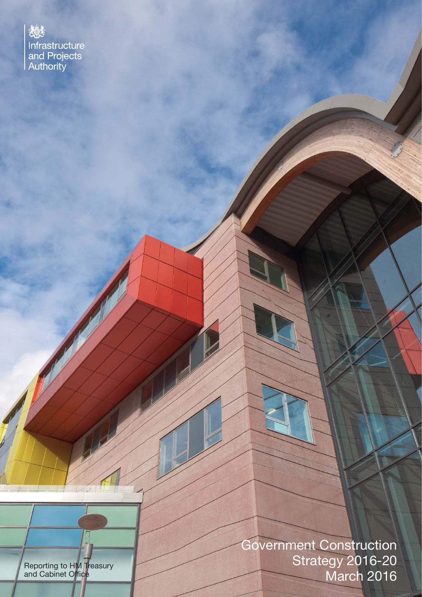矮 Infrastructure and Projects<br>Authority

Reporting to HM Treasury and Cabinet Office

Government Construction Strategy 2016-20 March 2016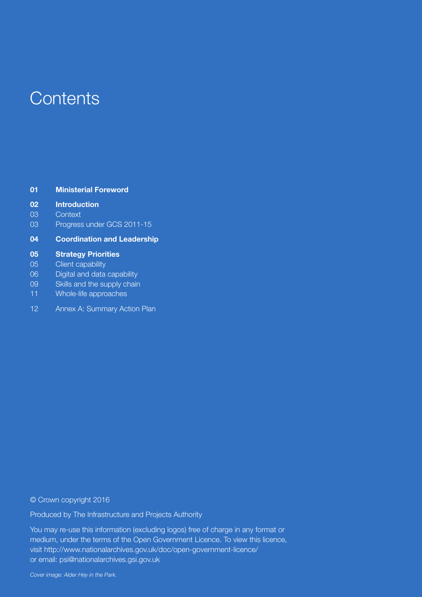## **Contents**

| 01 | <b>Ministerial Foreword</b> |  |
|----|-----------------------------|--|
|    |                             |  |

#### **02 Introduction**

- 03 Context
- 03 Progress under GCS 2011-15

#### **04 Coordination and Leadership**

#### **05 Strategy Priorities**

- 05 Client capability
- 06 Digital and data capability
- 09 Skills and the supply chain
- 11 Whole-life approaches
- 12 Annex A: Summary Action Plan

#### © Crown copyright 2016

Produced by The Infrastructure and Projects Authority

You may re-use this information (excluding logos) free of charge in any format or medium, under the terms of the Open Government Licence. To view this licence, visit http://www.nationalarchives.gov.uk/doc/open-government-licence/ or email: psi@nationalarchives.gsi.gov.uk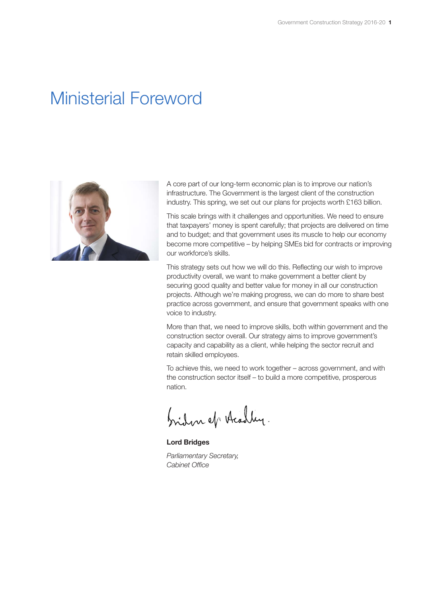## Ministerial Foreword



A core part of our long-term economic plan is to improve our nation's infrastructure. The Government is the largest client of the construction industry. This spring, we set out our plans for projects worth £163 billion.

This scale brings with it challenges and opportunities. We need to ensure that taxpayers' money is spent carefully; that projects are delivered on time and to budget; and that government uses its muscle to help our economy become more competitive – by helping SMEs bid for contracts or improving our workforce's skills.

This strategy sets out how we will do this. Reflecting our wish to improve productivity overall, we want to make government a better client by securing good quality and better value for money in all our construction projects. Although we're making progress, we can do more to share best practice across government, and ensure that government speaks with one voice to industry.

More than that, we need to improve skills, both within government and the construction sector overall. Our strategy aims to improve government's capacity and capability as a client, while helping the sector recruit and retain skilled employees.

To achieve this, we need to work together – across government, and with the construction sector itself – to build a more competitive, prosperous nation.

briden of Acadley.

**Lord Bridges** *Parliamentary Secretary, Cabinet Office*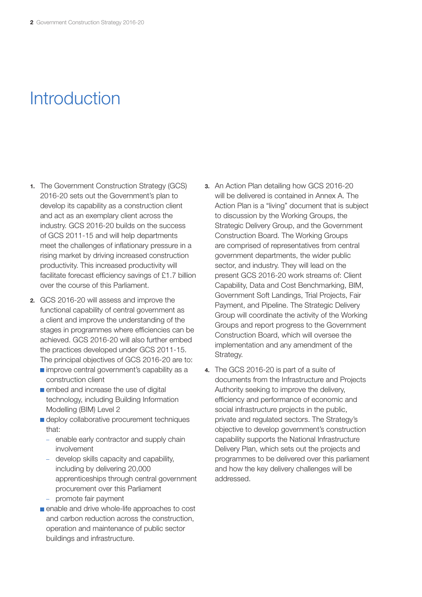# Introduction

- **1.** The Government Construction Strategy (GCS) 2016-20 sets out the Government's plan to develop its capability as a construction client and act as an exemplary client across the industry. GCS 2016-20 builds on the success of GCS 2011-15 and will help departments meet the challenges of inflationary pressure in a rising market by driving increased construction productivity. This increased productivity will facilitate forecast efficiency savings of £1.7 billion over the course of this Parliament.
- **2.** GCS 2016-20 will assess and improve the functional capability of central government as a client and improve the understanding of the stages in programmes where efficiencies can be achieved. GCS 2016-20 will also further embed the practices developed under GCS 2011-15. The principal objectives of GCS 2016-20 are to:
	- **n** improve central government's capability as a construction client
	- **embed and increase the use of digital** technology, including Building Information Modelling (BIM) Level 2
	- deploy collaborative procurement techniques that:
		- enable early contractor and supply chain involvement
		- develop skills capacity and capability, including by delivering 20,000 apprenticeships through central government procurement over this Parliament
		- promote fair payment
	- enable and drive whole-life approaches to cost and carbon reduction across the construction, operation and maintenance of public sector buildings and infrastructure.
- **3.** An Action Plan detailing how GCS 2016-20 will be delivered is contained in Annex A. The Action Plan is a "living" document that is subject to discussion by the Working Groups, the Strategic Delivery Group, and the Government Construction Board. The Working Groups are comprised of representatives from central government departments, the wider public sector, and industry. They will lead on the present GCS 2016-20 work streams of: Client Capability, Data and Cost Benchmarking, BIM, Government Soft Landings, Trial Projects, Fair Payment, and Pipeline. The Strategic Delivery Group will coordinate the activity of the Working Groups and report progress to the Government Construction Board, which will oversee the implementation and any amendment of the Strategy.
- **4.** The GCS 2016-20 is part of a suite of documents from the Infrastructure and Projects Authority seeking to improve the delivery, efficiency and performance of economic and social infrastructure projects in the public, private and regulated sectors. The Strategy's objective to develop government's construction capability supports the National Infrastructure Delivery Plan, which sets out the projects and programmes to be delivered over this parliament and how the key delivery challenges will be addressed.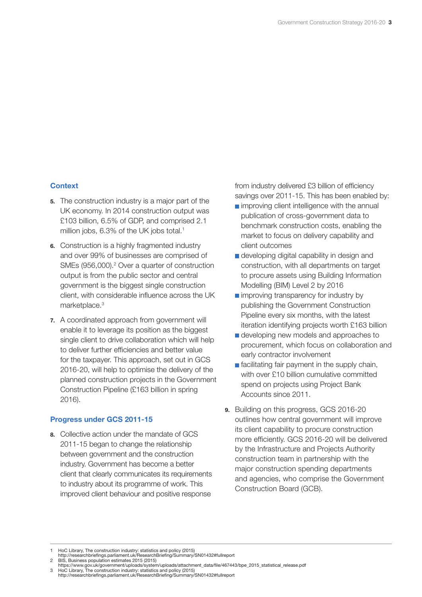#### **Context**

- **5.** The construction industry is a major part of the UK economy. In 2014 construction output was £103 billion, 6.5% of GDP, and comprised 2.1 million jobs, 6.3% of the UK jobs total.<sup>1</sup>
- **6.** Construction is a highly fragmented industry and over 99% of businesses are comprised of SMEs (956,000).<sup>2</sup> Over a quarter of construction output is from the public sector and central government is the biggest single construction client, with considerable influence across the UK marketplace.3
- **7.** A coordinated approach from government will enable it to leverage its position as the biggest single client to drive collaboration which will help to deliver further efficiencies and better value for the taxpayer. This approach, set out in GCS 2016-20, will help to optimise the delivery of the planned construction projects in the Government Construction Pipeline (£163 billion in spring 2016).

#### **Progress under GCS 2011-15**

**8.** Collective action under the mandate of GCS 2011-15 began to change the relationship between government and the construction industry. Government has become a better client that clearly communicates its requirements to industry about its programme of work. This improved client behaviour and positive response

from industry delivered £3 billion of efficiency savings over 2011-15. This has been enabled by:

- **n** improving client intelligence with the annual publication of cross-government data to benchmark construction costs, enabling the market to focus on delivery capability and client outcomes
- developing digital capability in design and construction, with all departments on target to procure assets using Building Information Modelling (BIM) Level 2 by 2016
- **n** improving transparency for industry by publishing the Government Construction Pipeline every six months, with the latest iteration identifying projects worth £163 billion
- developing new models and approaches to procurement, which focus on collaboration and early contractor involvement
- $\blacksquare$  facilitating fair payment in the supply chain, with over £10 billion cumulative committed spend on projects using Project Bank Accounts since 2011.
- **9.** Building on this progress, GCS 2016-20 outlines how central government will improve its client capability to procure construction more efficiently. GCS 2016-20 will be delivered by the Infrastructure and Projects Authority construction team in partnership with the major construction spending departments and agencies, who comprise the Government Construction Board (GCB).

<sup>1</sup> HoC Library, The construction industry: statistics and policy (2015) http://researchbriefings.parliament.uk/ResearchBriefing/Summary/SN01432#fullreport

<sup>2</sup> BIS, Business population estimates 2015 (2015)<br>https://www.gov.uk/government/uploads/system/uploads/attachment\_data/file/467443/bpe\_2015\_statistical\_release.pdf<br>3 HoC Library, The construction industry: statistics and p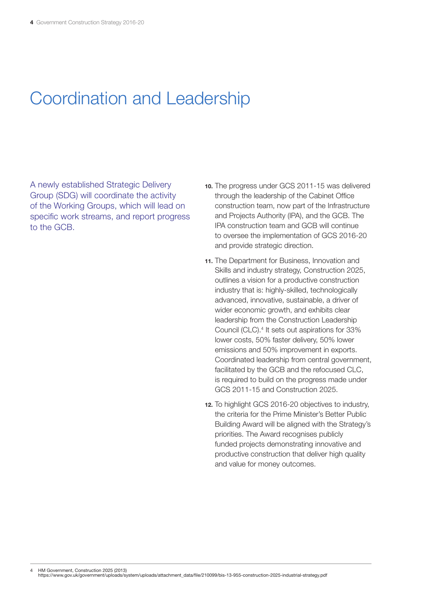# Coordination and Leadership

A newly established Strategic Delivery Group (SDG) will coordinate the activity of the Working Groups, which will lead on specific work streams, and report progress to the GCB.

- **10.** The progress under GCS 2011-15 was delivered through the leadership of the Cabinet Office construction team, now part of the Infrastructure and Projects Authority (IPA), and the GCB. The IPA construction team and GCB will continue to oversee the implementation of GCS 2016-20 and provide strategic direction.
- **11.** The Department for Business, Innovation and Skills and industry strategy, Construction 2025, outlines a vision for a productive construction industry that is: highly-skilled, technologically advanced, innovative, sustainable, a driver of wider economic growth, and exhibits clear leadership from the Construction Leadership Council (CLC).<sup>4</sup> It sets out aspirations for 33% lower costs, 50% faster delivery, 50% lower emissions and 50% improvement in exports. Coordinated leadership from central government, facilitated by the GCB and the refocused CLC, is required to build on the progress made under GCS 2011-15 and Construction 2025.
- **12.** To highlight GCS 2016-20 objectives to industry, the criteria for the Prime Minister's Better Public Building Award will be aligned with the Strategy's priorities. The Award recognises publicly funded projects demonstrating innovative and productive construction that deliver high quality and value for money outcomes.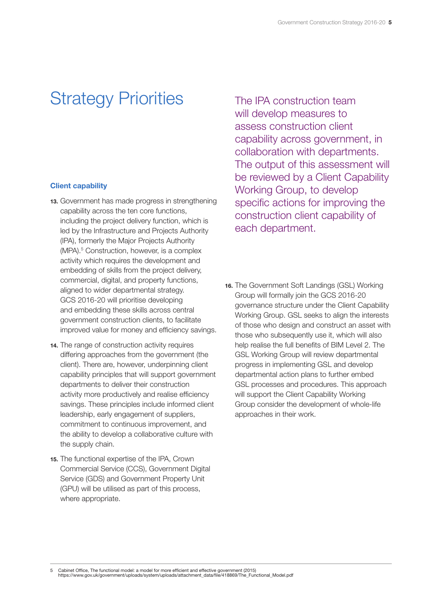# Strategy Priorities

#### **Client capability**

- **13.** Government has made progress in strengthening capability across the ten core functions, including the project delivery function, which is led by the Infrastructure and Projects Authority (IPA), formerly the Major Projects Authority (MPA).<sup>5</sup> Construction, however, is a complex activity which requires the development and embedding of skills from the project delivery, commercial, digital, and property functions, aligned to wider departmental strategy. GCS 2016-20 will prioritise developing and embedding these skills across central government construction clients, to facilitate improved value for money and efficiency savings.
- **14.** The range of construction activity requires differing approaches from the government (the client). There are, however, underpinning client capability principles that will support government departments to deliver their construction activity more productively and realise efficiency savings. These principles include informed client leadership, early engagement of suppliers, commitment to continuous improvement, and the ability to develop a collaborative culture with the supply chain.
- **15.** The functional expertise of the IPA, Crown Commercial Service (CCS), Government Digital Service (GDS) and Government Property Unit (GPU) will be utilised as part of this process, where appropriate.

The IPA construction team will develop measures to assess construction client capability across government, in collaboration with departments. The output of this assessment will be reviewed by a Client Capability Working Group, to develop specific actions for improving the construction client capability of each department.

**16.** The Government Soft Landings (GSL) Working Group will formally join the GCS 2016-20 governance structure under the Client Capability Working Group. GSL seeks to align the interests of those who design and construct an asset with those who subsequently use it, which will also help realise the full benefits of BIM Level 2. The GSL Working Group will review departmental progress in implementing GSL and develop departmental action plans to further embed GSL processes and procedures. This approach will support the Client Capability Working Group consider the development of whole-life approaches in their work.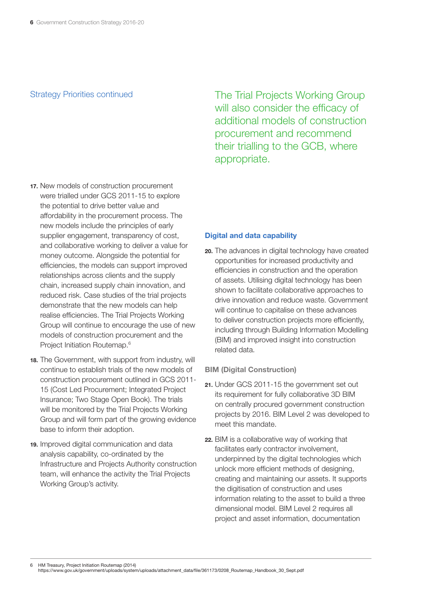#### Strategy Priorities continued

- **17.** New models of construction procurement were trialled under GCS 2011-15 to explore the potential to drive better value and affordability in the procurement process. The new models include the principles of early supplier engagement, transparency of cost, and collaborative working to deliver a value for money outcome. Alongside the potential for efficiencies, the models can support improved relationships across clients and the supply chain, increased supply chain innovation, and reduced risk. Case studies of the trial projects demonstrate that the new models can help realise efficiencies. The Trial Projects Working Group will continue to encourage the use of new models of construction procurement and the Project Initiation Routemap.6
- **18.** The Government, with support from industry, will continue to establish trials of the new models of construction procurement outlined in GCS 2011- 15 (Cost Led Procurement; Integrated Project Insurance; Two Stage Open Book). The trials will be monitored by the Trial Projects Working Group and will form part of the growing evidence base to inform their adoption.
- **19.** Improved digital communication and data analysis capability, co-ordinated by the Infrastructure and Projects Authority construction team, will enhance the activity the Trial Projects Working Group's activity.

The Trial Projects Working Group will also consider the efficacy of additional models of construction procurement and recommend their trialling to the GCB, where appropriate.

#### **Digital and data capability**

**20.** The advances in digital technology have created opportunities for increased productivity and efficiencies in construction and the operation of assets. Utilising digital technology has been shown to facilitate collaborative approaches to drive innovation and reduce waste. Government will continue to capitalise on these advances to deliver construction projects more efficiently, including through Building Information Modelling (BIM) and improved insight into construction related data.

#### **BIM (Digital Construction)**

- **21.** Under GCS 2011-15 the government set out its requirement for fully collaborative 3D BIM on centrally procured government construction projects by 2016. BIM Level 2 was developed to meet this mandate.
- **22.** BIM is a collaborative way of working that facilitates early contractor involvement, underpinned by the digital technologies which unlock more efficient methods of designing, creating and maintaining our assets. It supports the digitisation of construction and uses information relating to the asset to build a three dimensional model. BIM Level 2 requires all project and asset information, documentation

https://www.gov.uk/government/uploads/system/uploads/attachment\_data/file/361173/0208\_Routemap\_Handbook\_30\_Sept.pdf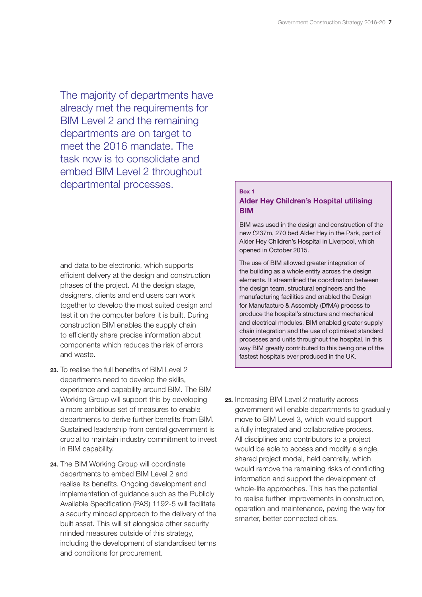The majority of departments have already met the requirements for BIM Level 2 and the remaining departments are on target to meet the 2016 mandate. The task now is to consolidate and embed BIM Level 2 throughout departmental processes.

and data to be electronic, which supports efficient delivery at the design and construction phases of the project. At the design stage, designers, clients and end users can work together to develop the most suited design and test it on the computer before it is built. During construction BIM enables the supply chain to efficiently share precise information about components which reduces the risk of errors and waste.

- 23. To realise the full benefits of BIM Level 2 departments need to develop the skills, experience and capability around BIM. The BIM Working Group will support this by developing a more ambitious set of measures to enable departments to derive further benefits from BIM. Sustained leadership from central government is crucial to maintain industry commitment to invest in BIM capability.
- **24.** The BIM Working Group will coordinate departments to embed BIM Level 2 and realise its benefits. Ongoing development and implementation of guidance such as the Publicly Available Specification (PAS) 1192-5 will facilitate a security minded approach to the delivery of the built asset. This will sit alongside other security minded measures outside of this strategy, including the development of standardised terms and conditions for procurement.

#### **Box 1 Alder Hey Children's Hospital utilising BIM**

BIM was used in the design and construction of the new £237m, 270 bed Alder Hey in the Park, part of Alder Hey Children's Hospital in Liverpool, which opened in October 2015.

The use of BIM allowed greater integration of the building as a whole entity across the design elements. It streamlined the coordination between the design team, structural engineers and the manufacturing facilities and enabled the Design for Manufacture & Assembly (DfMA) process to produce the hospital's structure and mechanical and electrical modules. BIM enabled greater supply chain integration and the use of optimised standard processes and units throughout the hospital. In this way BIM greatly contributed to this being one of the fastest hospitals ever produced in the UK.

**25.** Increasing BIM Level 2 maturity across government will enable departments to gradually move to BIM Level 3, which would support a fully integrated and collaborative process. All disciplines and contributors to a project would be able to access and modify a single, shared project model, held centrally, which would remove the remaining risks of conflicting information and support the development of whole-life approaches. This has the potential to realise further improvements in construction, operation and maintenance, paving the way for smarter, better connected cities.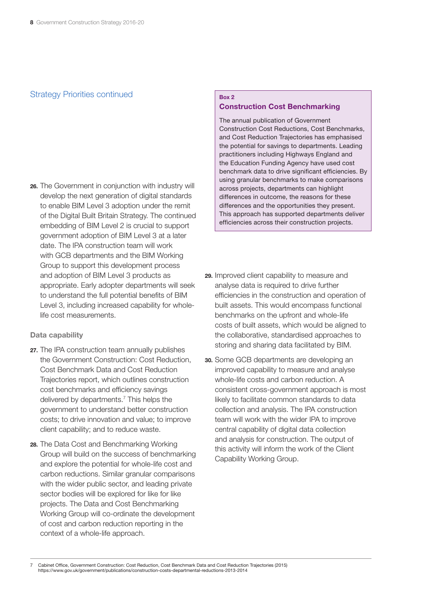#### Strategy Priorities continued **Box 2**

**26.** The Government in conjunction with industry will develop the next generation of digital standards to enable BIM Level 3 adoption under the remit of the Digital Built Britain Strategy. The continued embedding of BIM Level 2 is crucial to support government adoption of BIM Level 3 at a later date. The IPA construction team will work with GCB departments and the BIM Working Group to support this development process and adoption of BIM Level 3 products as appropriate. Early adopter departments will seek to understand the full potential benefits of BIM Level 3, including increased capability for wholelife cost measurements.

#### **Data capability**

- **27.** The IPA construction team annually publishes the Government Construction: Cost Reduction, Cost Benchmark Data and Cost Reduction Trajectories report, which outlines construction cost benchmarks and efficiency savings delivered by departments.<sup>7</sup> This helps the government to understand better construction costs; to drive innovation and value; to improve client capability; and to reduce waste.
- **28.** The Data Cost and Benchmarking Working Group will build on the success of benchmarking and explore the potential for whole-life cost and carbon reductions. Similar granular comparisons with the wider public sector, and leading private sector bodies will be explored for like for like projects. The Data and Cost Benchmarking Working Group will co-ordinate the development of cost and carbon reduction reporting in the context of a whole-life approach.

### **Construction Cost Benchmarking**

The annual publication of Government Construction Cost Reductions, Cost Benchmarks, and Cost Reduction Trajectories has emphasised the potential for savings to departments. Leading practitioners including Highways England and the Education Funding Agency have used cost benchmark data to drive significant efficiencies. By using granular benchmarks to make comparisons across projects, departments can highlight differences in outcome, the reasons for these differences and the opportunities they present. This approach has supported departments deliver efficiencies across their construction projects.

- **29.** Improved client capability to measure and analyse data is required to drive further efficiencies in the construction and operation of built assets. This would encompass functional benchmarks on the upfront and whole-life costs of built assets, which would be aligned to the collaborative, standardised approaches to storing and sharing data facilitated by BIM.
- **30.** Some GCB departments are developing an improved capability to measure and analyse whole-life costs and carbon reduction. A consistent cross-government approach is most likely to facilitate common standards to data collection and analysis. The IPA construction team will work with the wider IPA to improve central capability of digital data collection and analysis for construction. The output of this activity will inform the work of the Client Capability Working Group.

7 Cabinet Office, Government Construction: Cost Reduction, Cost Benchmark Data and Cost Reduction Trajectories (2015) https://www.gov.uk/government/publications/construction-costs-departmental-reductions-2013-2014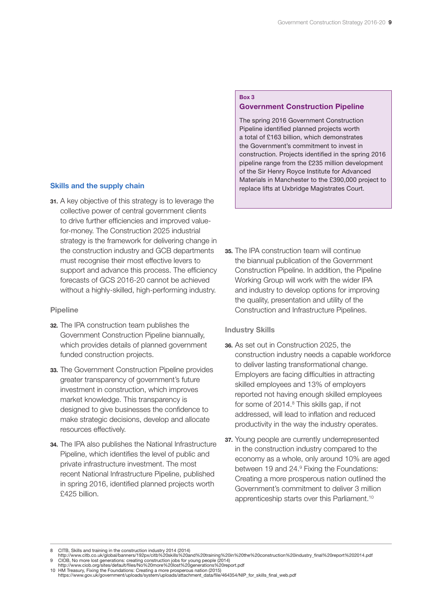#### **Skills and the supply chain**

**31.** A key objective of this strategy is to leverage the collective power of central government clients to drive further efficiencies and improved valuefor-money. The Construction 2025 industrial strategy is the framework for delivering change in the construction industry and GCB departments must recognise their most effective levers to support and advance this process. The efficiency forecasts of GCS 2016-20 cannot be achieved without a highly-skilled, high-performing industry.

#### **Pipeline**

- **32.** The IPA construction team publishes the Government Construction Pipeline biannually, which provides details of planned government funded construction projects.
- **33.** The Government Construction Pipeline provides greater transparency of government's future investment in construction, which improves market knowledge. This transparency is designed to give businesses the confidence to make strategic decisions, develop and allocate resources effectively.
- **34.** The IPA also publishes the National Infrastructure Pipeline, which identifies the level of public and private infrastructure investment. The most recent National Infrastructure Pipeline, published in spring 2016, identified planned projects worth £425 billion.

#### **35.** The IPA construction team will continue the biannual publication of the Government Construction Pipeline. In addition, the Pipeline Working Group will work with the wider IPA and industry to develop options for improving the quality, presentation and utility of the Construction and Infrastructure Pipelines.

**Government Construction Pipeline**

The spring 2016 Government Construction Pipeline identified planned projects worth a total of £163 billion, which demonstrates the Government's commitment to invest in

construction. Projects identified in the spring 2016 pipeline range from the £235 million development of the Sir Henry Royce Institute for Advanced Materials in Manchester to the £390,000 project to replace lifts at Uxbridge Magistrates Court.

#### **Industry Skills**

**Box 3** 

- **36.** As set out in Construction 2025, the construction industry needs a capable workforce to deliver lasting transformational change. Employers are facing difficulties in attracting skilled employees and 13% of employers reported not having enough skilled employees for some of 2014.<sup>8</sup> This skills gap, if not addressed, will lead to inflation and reduced productivity in the way the industry operates.
- **37.** Young people are currently underrepresented in the construction industry compared to the economy as a whole, only around 10% are aged between 19 and 24.<sup>9</sup> Fixing the Foundations: Creating a more prosperous nation outlined the Government's commitment to deliver 3 million apprenticeship starts over this Parliament.10

10 HM Treasury, Fixing the Foundations: Creating a more prosperous nation (2015) https://www.gov.uk/government/uploads/system/uploads/attachment\_data/file/464354/NIP\_for\_skills\_final\_web.pdf

<sup>8</sup> CITB, Skills and training in the construction industry 2014 (2014) http://www.citb.co.uk/global/banners/192px/citb%20skills%20and%20training%20in%20the%20construction%20industry\_final%20report%202014.pdf 9 CIOB, No more lost generations: creating construction jobs for young people (2014) http://www.ciob.org/sites/default/files/No%20more%20lost%20generations%20report.pdf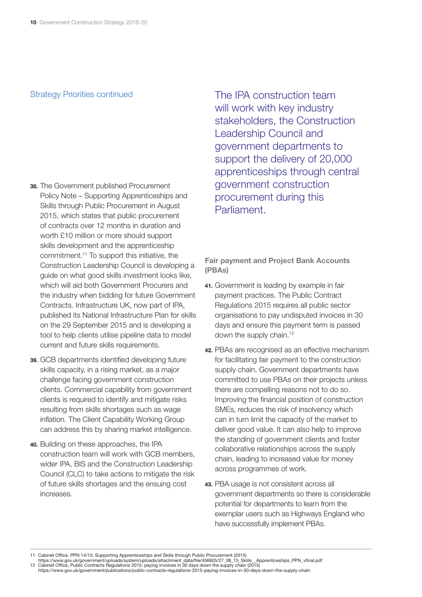#### Strategy Priorities continued

- **38.** The Government published Procurement Policy Note – Supporting Apprenticeships and Skills through Public Procurement in August 2015, which states that public procurement of contracts over 12 months in duration and worth £10 million or more should support skills development and the apprenticeship commitment.11 To support this initiative, the Construction Leadership Council is developing a guide on what good skills investment looks like, which will aid both Government Procurers and the industry when bidding for future Government Contracts. Infrastructure UK, now part of IPA, published its National Infrastructure Plan for skills on the 29 September 2015 and is developing a tool to help clients utilise pipeline data to model current and future skills requirements.
- **39.** GCB departments identified developing future skills capacity, in a rising market, as a major challenge facing government construction clients. Commercial capability from government clients is required to identify and mitigate risks resulting from skills shortages such as wage inflation. The Client Capability Working Group can address this by sharing market intelligence.
- **40.** Building on these approaches, the IPA construction team will work with GCB members, wider IPA, BIS and the Construction Leadership Council (CLC) to take actions to mitigate the risk of future skills shortages and the ensuing cost increases.

The IPA construction team will work with key industry stakeholders, the Construction Leadership Council and government departments to support the delivery of 20,000 apprenticeships through central government construction procurement during this Parliament.

**Fair payment and Project Bank Accounts (PBAs)**

- **41.** Government is leading by example in fair payment practices. The Public Contract Regulations 2015 requires all public sector organisations to pay undisputed invoices in 30 days and ensure this payment term is passed down the supply chain.<sup>12</sup>
- **42.** PBAs are recognised as an effective mechanism for facilitating fair payment to the construction supply chain. Government departments have committed to use PBAs on their projects unless there are compelling reasons not to do so. Improving the financial position of construction SMEs, reduces the risk of insolvency which can in turn limit the capacity of the market to deliver good value. It can also help to improve the standing of government clients and foster collaborative relationships across the supply chain, leading to increased value for money across programmes of work.
- **43.** PBA usage is not consistent across all government departments so there is considerable potential for departments to learn from the exemplar users such as Highways England who have successfully implement PBAs.

11 Cabinet Office, PPN 14/15: Supporting Apprenticeships and Skills through Public Procurement (2015)

https://www.gov.uk/government/uploads/system/uploads/attachment\_data/file/456805/27\_08\_15\_Skills\_Apprenticeships\_PPN\_vfinal.pdf<br>12 Cabinet Office, Public Contracts Regulations 2015: paying invoices in 30 days down the supp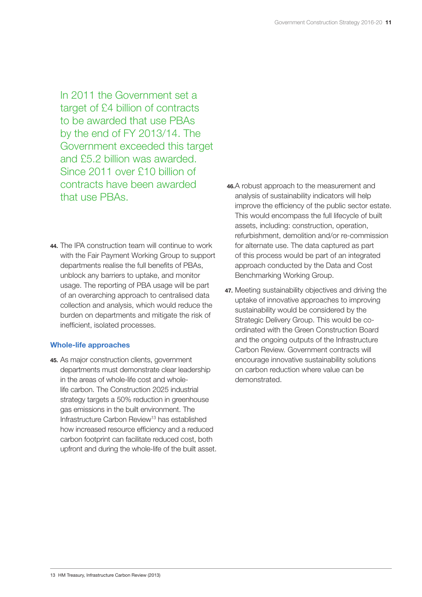In 2011 the Government set a target of £4 billion of contracts to be awarded that use PBAs by the end of FY 2013/14. The Government exceeded this target and £5.2 billion was awarded. Since 2011 over £10 billion of contracts have been awarded that use PBAs.

**44.** The IPA construction team will continue to work with the Fair Payment Working Group to support departments realise the full benefits of PBAs, unblock any barriers to uptake, and monitor usage. The reporting of PBA usage will be part of an overarching approach to centralised data collection and analysis, which would reduce the burden on departments and mitigate the risk of inefficient, isolated processes.

#### **Whole-life approaches**

**45.** As major construction clients, government departments must demonstrate clear leadership in the areas of whole-life cost and wholelife carbon. The Construction 2025 industrial strategy targets a 50% reduction in greenhouse gas emissions in the built environment. The Infrastructure Carbon Review13 has established how increased resource efficiency and a reduced carbon footprint can facilitate reduced cost, both upfront and during the whole-life of the built asset.

- **46.**A robust approach to the measurement and analysis of sustainability indicators will help improve the efficiency of the public sector estate. This would encompass the full lifecycle of built assets, including: construction, operation, refurbishment, demolition and/or re-commission for alternate use. The data captured as part of this process would be part of an integrated approach conducted by the Data and Cost Benchmarking Working Group.
- **47.** Meeting sustainability objectives and driving the uptake of innovative approaches to improving sustainability would be considered by the Strategic Delivery Group. This would be coordinated with the Green Construction Board and the ongoing outputs of the Infrastructure Carbon Review. Government contracts will encourage innovative sustainability solutions on carbon reduction where value can be demonstrated.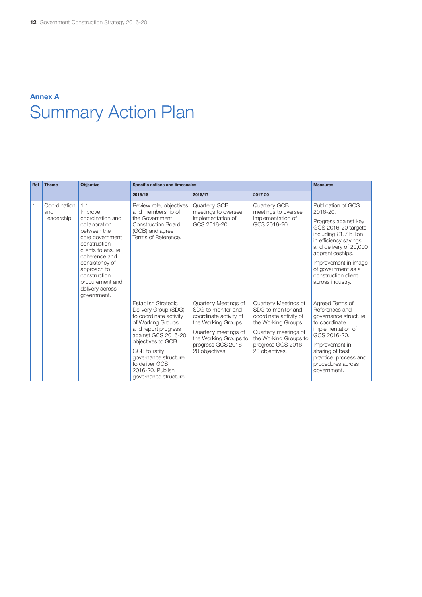### **Annex A**  Summary Action Plan

| Ref | <b>Theme</b>                      | <b>Objective</b>                                                                                                                                                                                                                                  | Specific actions and timescales                                                                                                                                                                                                                                        | <b>Measures</b>                                                                                                                                                                        |                                                                                                                                                                                        |                                                                                                                                                                                                                                                                         |
|-----|-----------------------------------|---------------------------------------------------------------------------------------------------------------------------------------------------------------------------------------------------------------------------------------------------|------------------------------------------------------------------------------------------------------------------------------------------------------------------------------------------------------------------------------------------------------------------------|----------------------------------------------------------------------------------------------------------------------------------------------------------------------------------------|----------------------------------------------------------------------------------------------------------------------------------------------------------------------------------------|-------------------------------------------------------------------------------------------------------------------------------------------------------------------------------------------------------------------------------------------------------------------------|
|     |                                   |                                                                                                                                                                                                                                                   | 2015/16                                                                                                                                                                                                                                                                | 2016/17                                                                                                                                                                                | 2017-20                                                                                                                                                                                |                                                                                                                                                                                                                                                                         |
|     | Coordination<br>and<br>Leadership | 1.1<br>Improve<br>coordination and<br>collaboration<br>between the<br>core government<br>construction<br>clients to ensure<br>coherence and<br>consistency of<br>approach to<br>construction<br>procurement and<br>delivery across<br>government. | Review role, objectives<br>and membership of<br>the Government<br><b>Construction Board</b><br>(GCB) and agree<br>Terms of Reference.                                                                                                                                  | Quarterly GCB<br>meetings to oversee<br>implementation of<br>GCS 2016-20.                                                                                                              | Quarterly GCB<br>meetings to oversee<br>implementation of<br>GCS 2016-20.                                                                                                              | Publication of GCS<br>2016-20.<br>Progress against key<br>GCS 2016-20 targets<br>including £1.7 billion<br>in efficiency savings<br>and delivery of 20,000<br>apprenticeships.<br>Improvement in image<br>of government as a<br>construction client<br>across industry. |
|     |                                   |                                                                                                                                                                                                                                                   | Establish Strategic<br>Delivery Group (SDG)<br>to coordinate activity<br>of Working Groups<br>and report progress<br>against GCS 2016-20<br>objectives to GCB.<br>GCB to ratify<br>governance structure<br>to deliver GCS<br>2016-20, Publish<br>governance structure. | Quarterly Meetings of<br>SDG to monitor and<br>coordinate activity of<br>the Working Groups.<br>Quarterly meetings of<br>the Working Groups to<br>progress GCS 2016-<br>20 objectives. | Quarterly Meetings of<br>SDG to monitor and<br>coordinate activity of<br>the Working Groups.<br>Quarterly meetings of<br>the Working Groups to<br>progress GCS 2016-<br>20 objectives. | Agreed Terms of<br>References and<br>governance structure<br>to coordinate<br>implementation of<br>GCS 2016-20.<br>Improvement in<br>sharing of best<br>practice, process and<br>procedures across<br>government.                                                       |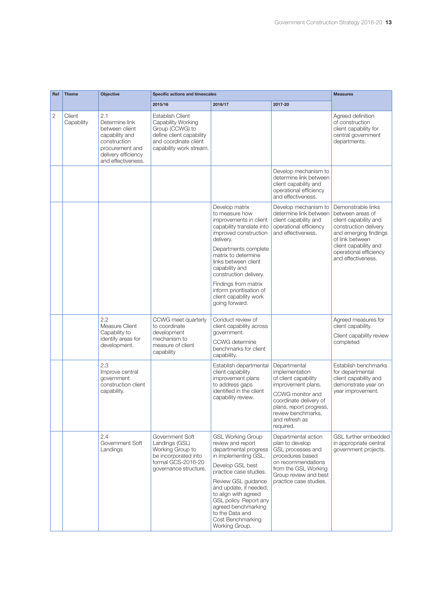| Ref            | <b>Theme</b>         | <b>Objective</b>                                                                                                                          | Specific actions and timescales                                                                                                                  | <b>Measures</b>                                                                                                                                                                                                                                                                                                                                  |                                                                                                                                                                                                            |                                                                                                                                                                                                               |
|----------------|----------------------|-------------------------------------------------------------------------------------------------------------------------------------------|--------------------------------------------------------------------------------------------------------------------------------------------------|--------------------------------------------------------------------------------------------------------------------------------------------------------------------------------------------------------------------------------------------------------------------------------------------------------------------------------------------------|------------------------------------------------------------------------------------------------------------------------------------------------------------------------------------------------------------|---------------------------------------------------------------------------------------------------------------------------------------------------------------------------------------------------------------|
|                |                      |                                                                                                                                           | 2015/16                                                                                                                                          | 2016/17                                                                                                                                                                                                                                                                                                                                          | 2017-20                                                                                                                                                                                                    |                                                                                                                                                                                                               |
| $\overline{2}$ | Client<br>Capability | 2.1<br>Determine link<br>between client<br>capability and<br>construction<br>procurement and<br>delivery efficiency<br>and effectiveness. | <b>Establish Client</b><br>Capability Working<br>Group (CCWG) to<br>define client capability<br>and coordinate client<br>capability work stream. |                                                                                                                                                                                                                                                                                                                                                  |                                                                                                                                                                                                            | Agreed definition<br>of construction<br>client capability for<br>central government<br>departments.                                                                                                           |
|                |                      |                                                                                                                                           |                                                                                                                                                  |                                                                                                                                                                                                                                                                                                                                                  | Develop mechanism to<br>determine link between<br>client capability and<br>operational efficiency<br>and effectiveness.                                                                                    |                                                                                                                                                                                                               |
|                |                      |                                                                                                                                           |                                                                                                                                                  | Develop matrix<br>to measure how<br>improvements in client<br>capability translate into<br>improved construction<br>delivery.<br>Departments complete<br>matrix to determine<br>links between client<br>capability and<br>construction delivery.<br>Findings from matrix<br>inform prioritisation of<br>client capability work<br>going forward. | Develop mechanism to<br>determine link between<br>client capability and<br>operational efficiency<br>and effectiveness.                                                                                    | Demonstrable links<br>between areas of<br>client capability and<br>construction delivery<br>and emerging findings<br>of link between<br>client capability and<br>operational efficiency<br>and effectiveness. |
|                |                      | 2.2<br>Measure Client<br>Capability to<br>identify areas for<br>development.                                                              | CCWG meet quarterly<br>to coordinate<br>development<br>mechanism to<br>measure of client<br>capability                                           | Conduct review of<br>client capability across<br>government.<br>CCWG determine<br>benchmarks for client<br>capability.                                                                                                                                                                                                                           |                                                                                                                                                                                                            | Agreed measures for<br>client capability.<br>Client capability review<br>completed                                                                                                                            |
|                |                      | 2.3<br>Improve central<br>qovernment<br>construction client<br>capability.                                                                |                                                                                                                                                  | Establish departmental<br>client capability<br>improvement plans<br>to address gaps<br>identified in the client<br>capability review.                                                                                                                                                                                                            | Departmental<br>implementation<br>of client capability<br>improvement plans.<br>CCWG monitor and<br>coordinate delivery of<br>plans, report progress,<br>review benchmarks,<br>and refresh as<br>required. | Establish benchmarks<br>for departmental<br>client capability and<br>demonstrate year on<br>year improvement.                                                                                                 |
|                |                      | 2.4<br>Government Soft<br>Landings                                                                                                        | Government Soft<br>Landings (GSL)<br>Working Group to<br>be incorporated into<br>formal GCS-2016-20<br>governance structure.                     | <b>GSL Working Group</b><br>review and report<br>departmental progress<br>in implementing GSL.<br>Develop GSL best<br>practice case studies.<br>Review GSL guidance<br>and update, if needed,<br>to align with agreed<br>GSL policy. Report any<br>agreed benchmarking<br>to the Data and<br>Cost Benchmarking<br>Working Group.                 | Departmental action<br>plan to develop<br>GSL processes and<br>procedures based<br>on recommendations<br>from the GSL Working<br>Group review and best<br>practice case studies.                           | GSL further embedded<br>in appropriate central<br>government projects.                                                                                                                                        |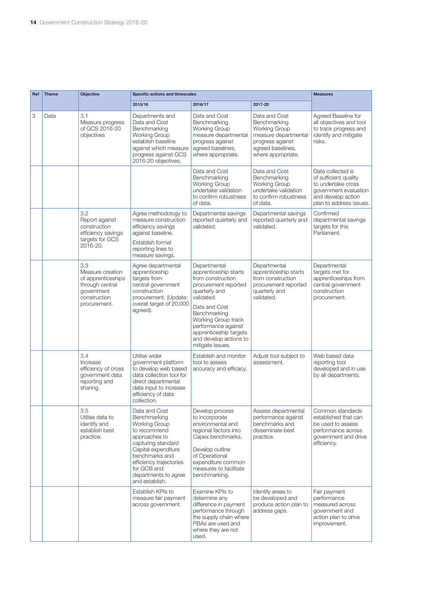| Ref | <b>Theme</b> | <b>Objective</b>                                                                                               | Specific actions and timescales                                                                                                                                                                                                           |                                                                                                                                                                                                                                                                          |                                                                                                                                              | <b>Measures</b>                                                                                                                            |
|-----|--------------|----------------------------------------------------------------------------------------------------------------|-------------------------------------------------------------------------------------------------------------------------------------------------------------------------------------------------------------------------------------------|--------------------------------------------------------------------------------------------------------------------------------------------------------------------------------------------------------------------------------------------------------------------------|----------------------------------------------------------------------------------------------------------------------------------------------|--------------------------------------------------------------------------------------------------------------------------------------------|
|     |              |                                                                                                                | 2015/16                                                                                                                                                                                                                                   | 2016/17                                                                                                                                                                                                                                                                  | 2017-20                                                                                                                                      |                                                                                                                                            |
| 3   | Data         | 3.1<br>Measure progress<br>of GCS 2016-20<br>objectives                                                        | Departments and<br>Data and Cost<br>Benchmarking<br><b>Working Group</b><br>establish baseline<br>against which measure<br>progress against GCS<br>2016-20 objectives.                                                                    | Data and Cost<br>Benchmarking<br><b>Working Group</b><br>measure departmental<br>progress against<br>agreed baselines,<br>where appropriate.                                                                                                                             | Data and Cost<br>Benchmarking<br><b>Working Group</b><br>measure departmental<br>progress against<br>agreed baselines,<br>where appropriate. | Agreed Baseline for<br>all objectives and tool<br>to track progress and<br>identify and mitigate<br>risks.                                 |
|     |              |                                                                                                                |                                                                                                                                                                                                                                           | Data and Cost<br>Benchmarking<br><b>Working Group</b><br>undertake validation<br>to confirm robustness<br>of data.                                                                                                                                                       | Data and Cost<br>Benchmarking<br><b>Working Group</b><br>undertake validation<br>to confirm robustness<br>of data.                           | Data collected is<br>of sufficient quality<br>to undertake cross<br>government evaluation<br>and develop action<br>plan to address issues. |
|     |              | 3.2<br>Report against<br>construction<br>efficiency savings<br>targets for GCS<br>2016-20.                     | Agree methodology to<br>measure construction<br>efficiency savings<br>against baseline.<br>Establish formal<br>reporting lines to<br>measure savings.                                                                                     | Departmental savings<br>reported quarterly and<br>validated.                                                                                                                                                                                                             | Departmental savings<br>reported quarterly and<br>validated.                                                                                 | Confirmed<br>departmental savings<br>targets for this<br>Parliament.                                                                       |
|     |              | 3.3<br>Measure creation<br>of apprenticeships<br>through central<br>government<br>construction<br>procurement. | Agree departmental<br>apprenticeship<br>targets from<br>central government<br>construction<br>procurement. (Update:<br>overall target of 20,000<br>agreed).                                                                               | Departmental<br>apprenticeship starts<br>from construction<br>procurement reported<br>quarterly and<br>validated.<br>Data and Cost<br>Benchmarking<br>Working Group track<br>performance against<br>apprenticeship targets<br>and develop actions to<br>mitigate issues. | Departmental<br>apprenticeship starts<br>from construction<br>procurement reported<br>quarterly and<br>validated.                            | Departmental<br>targets met for<br>apprenticeships from<br>central government<br>construction<br>procurement.                              |
|     |              | 3.4<br>Increase<br>efficiency of cross<br>government data<br>reporting and<br>sharing.                         | Utilise wider<br>government platform<br>to develop web based<br>data collection tool for<br>direct departmental<br>data input to increase<br>efficiency of data<br>collection.                                                            | Establish and monitor<br>tool to assess<br>accuracy and efficacy.                                                                                                                                                                                                        | Adjust tool subject to<br>assessment.                                                                                                        | Web based data<br>reporting tool<br>developed and in use<br>by all departments.                                                            |
|     |              | 3.5<br>Utilise data to<br>identify and<br>establish best<br>practice.                                          | Data and Cost<br>Benchmarking<br><b>Working Group</b><br>to recommend<br>approaches to<br>capturing standard<br>Capital expenditure<br>benchmarks and<br>efficiency trajectories<br>for GCB and<br>departments to agree<br>and establish. | Develop process<br>to incorporate<br>environmental and<br>regional factors into<br>Capex benchmarks.<br>Develop outline<br>of Operational<br>expenditure common<br>measures to facilitate<br>benchmarking.                                                               | Assess departmental<br>performance against<br>benchmarks and<br>disseminate best<br>practice.                                                | Common standards<br>established that can<br>be used to assess<br>performance across<br>government and drive<br>efficiency.                 |
|     |              |                                                                                                                | Establish KPIs to<br>measure fair payment<br>across government.                                                                                                                                                                           | Examine KPIs to<br>determine any<br>difference in payment<br>performance through<br>the supply chain where<br>PBAs are used and<br>where they are not<br>used.                                                                                                           | Identify areas to<br>be developed and<br>produce action plan to<br>address gaps.                                                             | Fair payment<br>performance<br>measured across<br>government and<br>action plan to drive<br>improvement.                                   |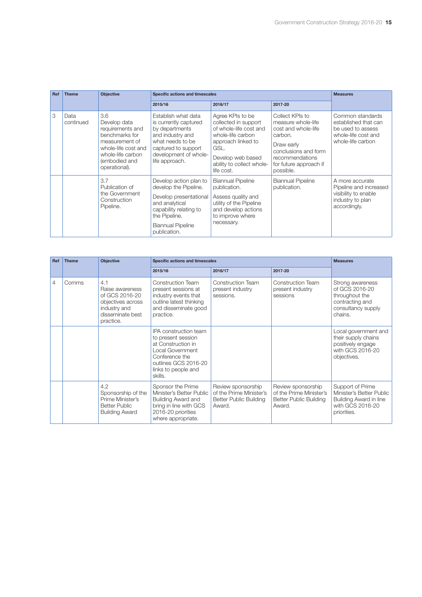| Ref | <b>Theme</b>      | <b>Objective</b>                                                                                                                                          |                                                                                                                                                                                    | Specific actions and timescales                                                                                                                                                       |                                                                                                                                                                         |                                                                                                           |  |
|-----|-------------------|-----------------------------------------------------------------------------------------------------------------------------------------------------------|------------------------------------------------------------------------------------------------------------------------------------------------------------------------------------|---------------------------------------------------------------------------------------------------------------------------------------------------------------------------------------|-------------------------------------------------------------------------------------------------------------------------------------------------------------------------|-----------------------------------------------------------------------------------------------------------|--|
|     |                   |                                                                                                                                                           | 2015/16                                                                                                                                                                            | 2016/17                                                                                                                                                                               | 2017-20                                                                                                                                                                 |                                                                                                           |  |
| 3   | Data<br>continued | 3.6<br>Develop data<br>requirements and<br>benchmarks for<br>measurement of<br>whole-life cost and<br>whole-life carbon<br>(embodied and<br>operational). | Establish what data<br>is currently captured<br>by departments<br>and industry and<br>what needs to be<br>captured to support<br>development of whole-<br>life approach.           | Agree KPIs to be<br>collected in support<br>of whole-life cost and<br>whole-life carbon<br>approach linked to<br>GSL.<br>Develop web based<br>ability to collect whole-<br>life cost. | Collect KPIs to<br>measure whole-life<br>cost and whole-life<br>carbon.<br>Draw early<br>conclusions and form<br>recommendations<br>for future approach if<br>possible. | Common standards<br>established that can<br>be used to assess<br>whole-life cost and<br>whole-life carbon |  |
|     |                   | 3.7<br>Publication of<br>the Government<br>Construction<br>Pipeline.                                                                                      | Develop action plan to<br>develop the Pipeline.<br>Develop presentational<br>and analytical<br>capability relating to<br>the Pipeline.<br><b>Biannual Pipeline</b><br>publication. | <b>Biannual Pipeline</b><br>publication.<br>Assess quality and<br>utility of the Pipeline<br>and develop actions<br>to improve where<br>necessary.                                    | <b>Biannual Pipeline</b><br>publication.                                                                                                                                | A more accurate<br>Pipeline and increased<br>visibility to enable<br>industry to plan<br>accordingly.     |  |

| Ref            | Objective<br>Specific actions and timescales<br><b>Theme</b> |                                                                                                                |                                                                                                                                                                   |                                                                                          |                                                                                          | <b>Measures</b>                                                                                           |
|----------------|--------------------------------------------------------------|----------------------------------------------------------------------------------------------------------------|-------------------------------------------------------------------------------------------------------------------------------------------------------------------|------------------------------------------------------------------------------------------|------------------------------------------------------------------------------------------|-----------------------------------------------------------------------------------------------------------|
|                |                                                              |                                                                                                                | 2015/16                                                                                                                                                           | 2016/17                                                                                  | 2017-20                                                                                  |                                                                                                           |
| $\overline{4}$ | Comms                                                        | 4.1<br>Raise awareness<br>of GCS 2016-20<br>objectives across<br>industry and<br>disseminate best<br>practice. | Construction Team<br>present sessions at<br>industry events that<br>outline latest thinking<br>and disseminate good<br>practice.                                  | <b>Construction Team</b><br>present industry<br>sessions.                                | <b>Construction Team</b><br>present industry<br>sessions                                 | Strong awareness<br>of GCS 2016-20<br>throughout the<br>contracting and<br>consultancy supply<br>chains.  |
|                |                                                              |                                                                                                                | IPA construction team<br>to present session<br>at Construction in<br>Local Government<br>Conference the<br>outlines GCS 2016-20<br>links to people and<br>skills. |                                                                                          |                                                                                          | Local government and<br>their supply chains<br>positively engage<br>with GCS 2016-20<br>objectives.       |
|                |                                                              | 4.2<br>Sponsorship of the<br>Prime Minister's<br><b>Better Public</b><br><b>Building Award</b>                 | Sponsor the Prime<br>Minister's Better Public<br>Building Award and<br>bring in line with GCS<br>2016-20 priorities<br>where appropriate.                         | Review sponsorship<br>of the Prime Minister's<br><b>Better Public Building</b><br>Award. | Review sponsorship<br>of the Prime Minister's<br><b>Better Public Building</b><br>Award. | Support of Prime<br>Minister's Better Public<br>Building Award in line<br>with GCS 2016-20<br>priorities. |